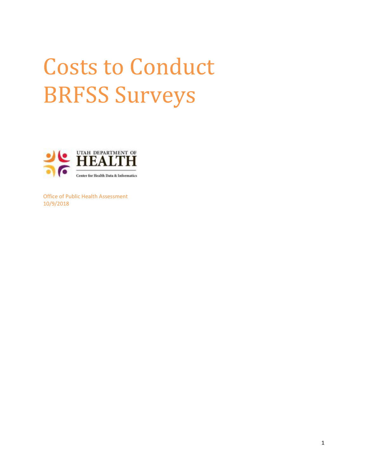# Costs to Conduct BRFSS Surveys



Office of Public Health Assessment 10/9/2018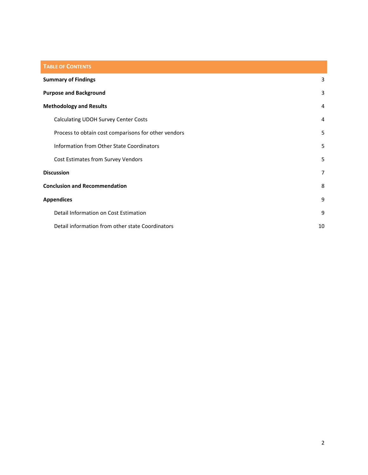| <b>TABLE OF CONTENTS</b>                             |                |
|------------------------------------------------------|----------------|
| <b>Summary of Findings</b>                           | 3              |
| <b>Purpose and Background</b>                        | 3              |
| <b>Methodology and Results</b>                       | 4              |
| Calculating UDOH Survey Center Costs                 | 4              |
| Process to obtain cost comparisons for other vendors | 5              |
| Information from Other State Coordinators            | 5              |
| Cost Estimates from Survey Vendors                   | 5              |
| <b>Discussion</b>                                    | $\overline{7}$ |
| <b>Conclusion and Recommendation</b>                 | 8              |
| <b>Appendices</b>                                    | 9              |
| Detail Information on Cost Estimation                | 9              |
| Detail information from other state Coordinators     | 10             |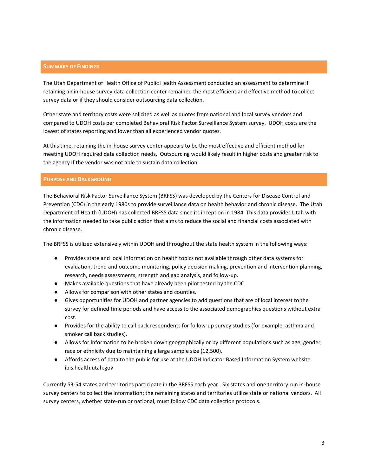## <span id="page-2-0"></span>**SUMMARY OF FINDINGS**

The Utah Department of Health Office of Public Health Assessment conducted an assessment to determine if retaining an in-house survey data collection center remained the most efficient and effective method to collect survey data or if they should consider outsourcing data collection.

Other state and territory costs were solicited as well as quotes from national and local survey vendors and compared to UDOH costs per completed Behavioral Risk Factor Surveillance System survey. UDOH costs are the lowest of states reporting and lower than all experienced vendor quotes.

At this time, retaining the in-house survey center appears to be the most effective and efficient method for meeting UDOH required data collection needs. Outsourcing would likely result in higher costs and greater risk to the agency if the vendor was not able to sustain data collection.

## <span id="page-2-1"></span>**PURPOSE AND BACKGROUND**

The Behavioral Risk Factor Surveillance System (BRFSS) was developed by the Centers for Disease Control and Prevention (CDC) in the early 1980s to provide surveillance data on health behavior and chronic disease. The Utah Department of Health (UDOH) has collected BRFSS data since its inception in 1984. This data provides Utah with the information needed to take public action that aims to reduce the social and financial costs associated with chronic disease.

The BRFSS is utilized extensively within UDOH and throughout the state health system in the following ways:

- Provides state and local information on health topics not available through other data systems for evaluation, trend and outcome monitoring, policy decision making, prevention and intervention planning, research, needs assessments, strength and gap analysis, and follow-up.
- Makes available questions that have already been pilot tested by the CDC.
- Allows for comparison with other states and counties.
- Gives opportunities for UDOH and partner agencies to add questions that are of local interest to the survey for defined time periods and have access to the associated demographics questions without extra cost.
- Provides for the ability to call back respondents for follow-up survey studies (for example, asthma and smoker call back studies).
- Allows for information to be broken down geographically or by different populations such as age, gender, race or ethnicity due to maintaining a large sample size (12,500).
- Affords access of data to the public for use at the UDOH Indicator Based Information System website ibis.health.utah.gov

Currently 53-54 states and territories participate in the BRFSS each year. Six states and one territory run in-house survey centers to collect the information; the remaining states and territories utilize state or national vendors. All survey centers, whether state-run or national, must follow CDC data collection protocols.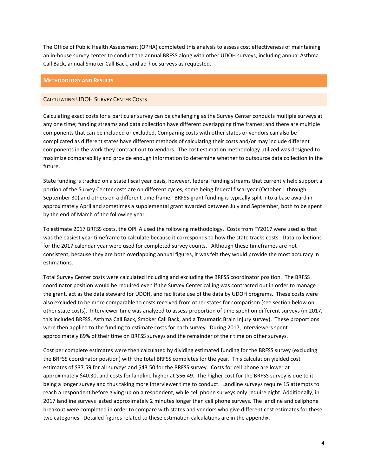The Office of Public Health Assessment (OPHA) completed this analysis to assess cost effectiveness of maintaining an in-house survey center to conduct the annual BRFSS along with other UDOH surveys, including annual Asthma Call Back, annual Smoker Call Back, and ad-hoc surveys as requested.

#### <span id="page-3-0"></span>**METHODOLOGY AND RESULTS**

## <span id="page-3-1"></span>CALCULATING UDOH SURVEY CENTER COSTS

Calculating exact costs for a particular survey can be challenging as the Survey Center conducts multiple surveys at any one time; funding streams and data collection have different overlapping time frames; and there are multiple components that can be included or excluded. Comparing costs with other states or vendors can also be complicated as different states have different methods of calculating their costs and/or may include different components in the work they contract out to vendors. The cost estimation methodology utilized was designed to maximize comparability and provide enough information to determine whether to outsource data collection in the future.

State funding is tracked on a state fiscal year basis, however, federal funding streams that currently help support a portion of the Survey Center costs are on different cycles, some being federal fiscal year (October 1 through September 30) and others on a different time frame. BRFSS grant funding is typically split into a base award in approximately April and sometimes a supplemental grant awarded between July and September, both to be spent by the end of March of the following year.

To estimate 2017 BRFSS costs, the OPHA used the following methodology. Costs from FY2017 were used as that was the easiest year timeframe to calculate because it corresponds to how the state tracks costs. Data collections for the 2017 calendar year were used for completed survey counts. Although these timeframes are not consistent, because they are both overlapping annual figures, it was felt they would provide the most accuracy in estimations.

Total Survey Center costs were calculated including and excluding the BRFSS coordinator position. The BRFSS coordinator position would be required even if the Survey Center calling was contracted out in order to manage the grant, act as the data steward for UDOH, and facilitate use of the data by UDOH programs. These costs were also excluded to be more comparable to costs received from other states for comparison (see section below on other state costs). Interviewer time was analyzed to assess proportion of time spent on different surveys (in 2017, this included BRFSS, Asthma Call Back, Smoker Call Back, and a Traumatic Brain Injury survey). These proportions were then applied to the funding to estimate costs for each survey. During 2017, interviewers spent approximately 89% of their time on BRFSS surveys and the remainder of their time on other surveys.

Cost per complete estimates were then calculated by dividing estimated funding for the BRFSS survey (excluding the BRFSS coordinator position) with the total BRFSS completes for the year. This calculation yielded cost estimates of \$37.59 for all surveys and \$43.50 for the BRFSS survey. Costs for cell phone are lower at approximately \$40.30, and costs for landline higher at \$56.49. The higher cost for the BRFSS survey is due to it being a longer survey and thus taking more interviewer time to conduct. Landline surveys require 15 attempts to reach a respondent before giving up on a respondent, while cell phone surveys only require eight. Additionally, in 2017 landline surveys lasted approximately 2 minutes longer than cell phone surveys. The landline and cellphone breakout were completed in order to compare with states and vendors who give different cost estimates for these two categories. Detailed figures related to these estimation calculations are in the appendix.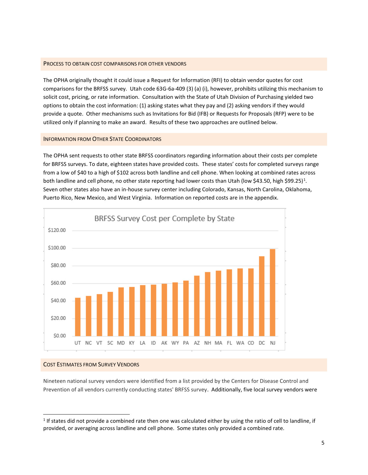#### <span id="page-4-0"></span>PROCESS TO OBTAIN COST COMPARISONS FOR OTHER VENDORS

The OPHA originally thought it could issue a Request for Information (RFI) to obtain vendor quotes for cost comparisons for the BRFSS survey. Utah code 63G-6a-409 (3) (a) (i), however, prohibits utilizing this mechanism to solicit cost, pricing, or rate information. Consultation with the State of Utah Division of Purchasing yielded two options to obtain the cost information: (1) asking states what they pay and (2) asking vendors if they would provide a quote. Other mechanisms such as Invitations for Bid (IFB) or Requests for Proposals (RFP) were to be utilized only if planning to make an award. Results of these two approaches are outlined below.

#### <span id="page-4-1"></span>INFORMATION FROM OTHER STATE COORDINATORS

The OPHA sent requests to other state BRFSS coordinators regarding information about their costs per complete for BRFSS surveys. To date, eighteen states have provided costs. These states' costs for completed surveys range from a low of \$40 to a high of \$102 across both landline and cell phone. When looking at combined rates across both landline and cell phone, no other state reporting had lower costs than Utah (low \$43.50, high \$99.25)<sup>1</sup>. Seven other states also have an in-house survey center including Colorado, Kansas, North Carolina, Oklahoma, Puerto Rico, New Mexico, and West Virginia. Information on reported costs are in the appendix.



#### <span id="page-4-2"></span>COST ESTIMATES FROM SURVEY VENDORS

 $\overline{a}$ 

Nineteen national survey vendors were identified from a list provided by the Centers for Disease Control and Prevention of all vendors currently conducting states' BRFSS survey. Additionally, five local survey vendors were

 $1$  If states did not provide a combined rate then one was calculated either by using the ratio of cell to landline, if provided, or averaging across landline and cell phone. Some states only provided a combined rate.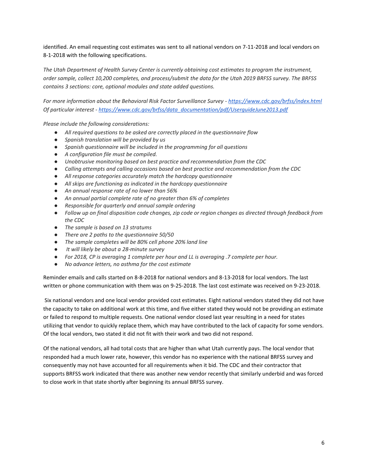identified. An email requesting cost estimates was sent to all national vendors on 7-11-2018 and local vendors on 8-1-2018 with the following specifications.

*The Utah Department of Health Survey Center is currently obtaining cost estimates to program the instrument, order sample, collect 10,200 completes, and process/submit the data for the Utah 2019 BRFSS survey. The BRFSS contains 3 sections: core, optional modules and state added questions.* 

*For more information about the Behavioral Risk Factor Surveillance Survey - <https://www.cdc.gov/brfss/index.html> Of particular interest - [https://www.cdc.gov/brfss/data\\_documentation/pdf/UserguideJune2013.pdf](https://www.cdc.gov/brfss/data_documentation/pdf/UserguideJune2013.pdf)*

*Please include the following considerations:*

- *All required questions to be asked are correctly placed in the questionnaire flow*
- *Spanish translation will be provided by us*
- *Spanish questionnaire will be included in the programming for all questions*
- *A configuration file must be compiled.*
- *Unobtrusive monitoring based on best practice and recommendation from the CDC*
- *Calling attempts and calling occasions based on best practice and recommendation from the CDC*
- *All response categories accurately match the hardcopy questionnaire*
- *All skips are functioning as indicated in the hardcopy questionnaire*
- *An annual response rate of no lower than 56%*
- *An annual partial complete rate of no greater than 6% of completes*
- *Responsible for quarterly and annual sample ordering*
- *Follow up on final disposition code changes, zip code or region changes as directed through feedback from the CDC*
- *The sample is based on 13 stratums*
- *There are 2 paths to the questionnaire 50/50*
- *The sample completes will be 80% cell phone 20% land line*
- *It will likely be about a 28-minute survey*
- *For 2018, CP is averaging 1 complete per hour and LL is averaging .7 complete per hour.*
- *No advance letters, no asthma for the cost estimate*

Reminder emails and calls started on 8-8-2018 for national vendors and 8-13-2018 for local vendors. The last written or phone communication with them was on 9-25-2018. The last cost estimate was received on 9-23-2018.

Six national vendors and one local vendor provided cost estimates. Eight national vendors stated they did not have the capacity to take on additional work at this time, and five either stated they would not be providing an estimate or failed to respond to multiple requests. One national vendor closed last year resulting in a need for states utilizing that vendor to quickly replace them, which may have contributed to the lack of capacity for some vendors. Of the local vendors, two stated it did not fit with their work and two did not respond.

Of the national vendors, all had total costs that are higher than what Utah currently pays. The local vendor that responded had a much lower rate, however, this vendor has no experience with the national BRFSS survey and consequently may not have accounted for all requirements when it bid. The CDC and their contractor that supports BRFSS work indicated that there was another new vendor recently that similarly underbid and was forced to close work in that state shortly after beginning its annual BRFSS survey.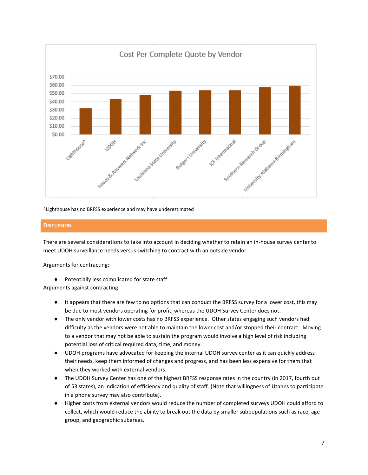

^Lighthouse has no BRFSS experience and may have underestimated

# <span id="page-6-0"></span>**DISCUSSION**

There are several considerations to take into account in deciding whether to retain an in-house survey center to meet UDOH surveillance needs versus switching to contract with an outside vendor.

Arguments for contracting:

● Potentially less complicated for state staff

Arguments against contracting:

- It appears that there are few to no options that can conduct the BRFSS survey for a lower cost, this may be due to most vendors operating for profit, whereas the UDOH Survey Center does not.
- The only vendor with lower costs has no BRFSS experience. Other states engaging such vendors had difficulty as the vendors were not able to maintain the lower cost and/or stopped their contract. Moving to a vendor that may not be able to sustain the program would involve a high level of risk including potential loss of critical required data, time, and money.
- UDOH programs have advocated for keeping the internal UDOH survey center as it can quickly address their needs, keep them informed of changes and progress, and has been less expensive for them that when they worked with external vendors.
- The UDOH Survey Center has one of the highest BRFSS response rates in the country (in 2017, fourth out of 53 states), an indication of efficiency and quality of staff. (Note that willingness of Utahns to participate in a phone survey may also contribute).
- Higher costs from external vendors would reduce the number of completed surveys UDOH could afford to collect, which would reduce the ability to break out the data by smaller subpopulations such as race, age group, and geographic subareas.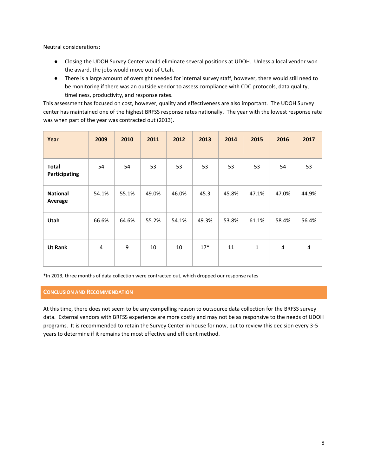Neutral considerations:

- Closing the UDOH Survey Center would eliminate several positions at UDOH. Unless a local vendor won the award, the jobs would move out of Utah.
- There is a large amount of oversight needed for internal survey staff, however, there would still need to be monitoring if there was an outside vendor to assess compliance with CDC protocols, data quality, timeliness, productivity, and response rates.

This assessment has focused on cost, however, quality and effectiveness are also important. The UDOH Survey center has maintained one of the highest BRFSS response rates nationally. The year with the lowest response rate was when part of the year was contracted out (2013).

| Year                          | 2009           | 2010  | 2011  | 2012  | 2013  | 2014  | 2015         | 2016  | 2017  |
|-------------------------------|----------------|-------|-------|-------|-------|-------|--------------|-------|-------|
| <b>Total</b><br>Participating | 54             | 54    | 53    | 53    | 53    | 53    | 53           | 54    | 53    |
| <b>National</b><br>Average    | 54.1%          | 55.1% | 49.0% | 46.0% | 45.3  | 45.8% | 47.1%        | 47.0% | 44.9% |
| <b>Utah</b>                   | 66.6%          | 64.6% | 55.2% | 54.1% | 49.3% | 53.8% | 61.1%        | 58.4% | 56.4% |
| <b>Ut Rank</b>                | $\overline{4}$ | 9     | 10    | 10    | $17*$ | 11    | $\mathbf{1}$ | 4     | 4     |

\*In 2013, three months of data collection were contracted out, which dropped our response rates

# <span id="page-7-0"></span>**CONCLUSION AND RECOMMENDATION**

At this time, there does not seem to be any compelling reason to outsource data collection for the BRFSS survey data. External vendors with BRFSS experience are more costly and may not be as responsive to the needs of UDOH programs. It is recommended to retain the Survey Center in house for now, but to review this decision every 3-5 years to determine if it remains the most effective and efficient method.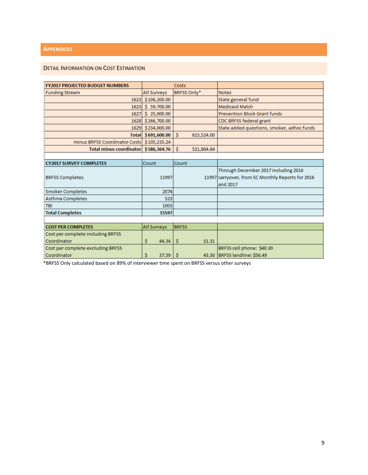# <span id="page-8-0"></span>**APPENDICES**

# <span id="page-8-1"></span>DETAIL INFORMATION ON COST ESTIMATION

| <b>FY2017 PROJECTED BUDGET NUMBERS</b> | Costs              |                  |                                                   |
|----------------------------------------|--------------------|------------------|---------------------------------------------------|
| <b>Funding Stream</b>                  | <b>All Surveys</b> | BRFSS Only*      | <b>Notes</b>                                      |
| 1623                                   | \$106,200.00       |                  | State general fund                                |
| 1623                                   | Ŝ.<br>59,700.00    |                  | <b>Medicaid Match</b>                             |
| 1627                                   | \$25,000.00        |                  | <b>Prevention Block Grant funds</b>               |
| 1628                                   | \$266,700.00       |                  | CDC BRFSS federal grant                           |
| 1629                                   | \$234,000.00       |                  | State added questions, smoker, adhoc funds        |
| <b>Total</b>                           | \$691,600.00       | Ś.<br>615,524.00 |                                                   |
| minus BRFSS Coordinator Costs          | \$105,235.24       |                  |                                                   |
| <b>Total minus coordinator</b>         | \$586,364.76       | Ś<br>521,864.64  |                                                   |
|                                        |                    |                  |                                                   |
| <b>CY2017 SURVEY COMPLETES</b>         | Count              | Count            |                                                   |
|                                        |                    |                  | Through December 2017 including 2016              |
| <b>BRFSS Completes</b>                 | 11997              |                  | 11997 carryover, from SC Monthly Reports for 2016 |
|                                        |                    |                  | and 2017                                          |
| <b>Smoker Completes</b>                | 2074               |                  |                                                   |
| Asthma Completes                       | 523                |                  |                                                   |
| <b>TBI</b>                             | 1003               |                  |                                                   |
| <b>Total Completes</b>                 | 15597              |                  |                                                   |
|                                        |                    |                  |                                                   |
| <b>COST PER COMPLETES</b>              | All Surveys        | <b>BRFSS</b>     |                                                   |
| Cost per complete including BRFSS      |                    |                  |                                                   |
| Coordinator                            | \$<br>44.34        | -\$<br>51.31     |                                                   |
| Cost per complete excluding BRFSS      |                    |                  | BRFSS cell phone: \$40.30                         |
| Coordinator                            | \$<br>37.59        | -Ŝ               | 43.50 BRFSS landline: \$56.49                     |

\*BRFSS Only calculated based on 89% of interviewer time spent on BRFSS versus other surveys